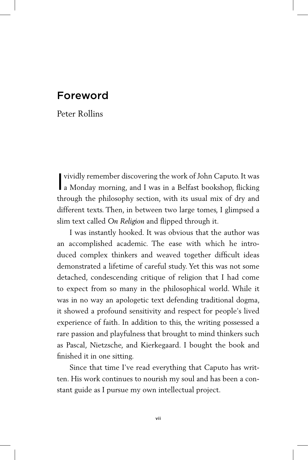## Foreword

Peter Rollins

I vividly remember discovering the work of John Caputo. It was a Monday morning, and I was in a Belfast bookshop, flicking through the philosophy section, with its usual mix of dry and different texts. Then, in between two large tomes, I glimpsed a slim text called *On Religion* and flipped through it.

I was instantly hooked. It was obvious that the author was an accomplished academic. The ease with which he introduced complex thinkers and weaved together difficult ideas demonstrated a lifetime of careful study. Yet this was not some detached, condescending critique of religion that I had come to expect from so many in the philosophical world. While it was in no way an apologetic text defending traditional dogma, it showed a profound sensitivity and respect for people's lived experience of faith. In addition to this, the writing possessed a rare passion and playfulness that brought to mind thinkers such as Pascal, Nietzsche, and Kierkegaard. I bought the book and finished it in one sitting.

Since that time I've read everything that Caputo has written. His work continues to nourish my soul and has been a constant guide as I pursue my own intellectual project.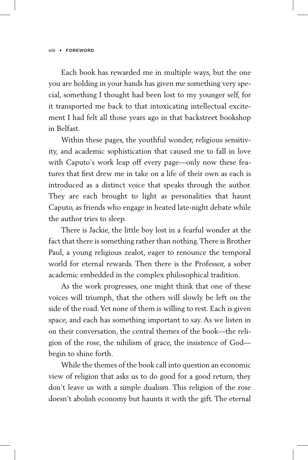Each book has rewarded me in multiple ways, but the one you are holding in your hands has given me something very special, something I thought had been lost to my younger self, for it transported me back to that intoxicating intellectual excitement I had felt all those years ago in that backstreet bookshop in Belfast.

Within these pages, the youthful wonder, religious sensitivity, and academic sophistication that caused me to fall in love with Caputo's work leap off every page—only now these features that first drew me in take on a life of their own as each is introduced as a distinct voice that speaks through the author. They are each brought to light as personalities that haunt Caputo, as friends who engage in heated late-night debate while the author tries to sleep.

There is Jackie, the little boy lost in a fearful wonder at the fact that there is something rather than nothing. There is Brother Paul, a young religious zealot, eager to renounce the temporal world for eternal rewards. Then there is the Professor, a sober academic embedded in the complex philosophical tradition.

As the work progresses, one might think that one of these voices will triumph, that the others will slowly be left on the side of the road. Yet none of them is willing to rest. Each is given space, and each has something important to say. As we listen in on their conversation, the central themes of the book—the religion of the rose, the nihilism of grace, the insistence of God begin to shine forth.

While the themes of the book call into question an economic view of religion that asks us to do good for a good return, they don't leave us with a simple dualism. This religion of the rose doesn't abolish economy but haunts it with the gift. The eternal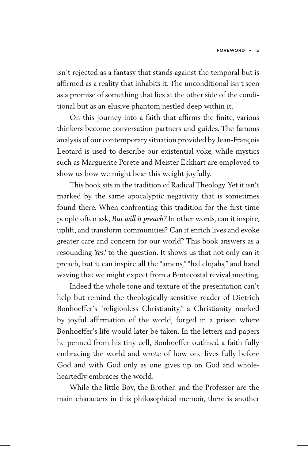isn't rejected as a fantasy that stands against the temporal but is affirmed as a reality that inhabits it. The unconditional isn't seen as a promise of something that lies at the other side of the conditional but as an elusive phantom nestled deep within it.

On this journey into a faith that affirms the finite, various thinkers become conversation partners and guides. The famous analysis of our contemporary situation provided by Jean-François Leotard is used to describe our existential yoke, while mystics such as Marguerite Porete and Meister Eckhart are employed to show us how we might bear this weight joyfully.

This book sits in the tradition of Radical Theology. Yet it isn't marked by the same apocalyptic negativity that is sometimes found there. When confronting this tradition for the first time people often ask, *But will it preach?* In other words, can it inspire, uplift, and transform communities? Can it enrich lives and evoke greater care and concern for our world? This book answers as a resounding *Yes!* to the question. It shows us that not only can it preach, but it can inspire all the "amens," "hallelujahs," and hand waving that we might expect from a Pentecostal revival meeting.

Indeed the whole tone and texture of the presentation can't help but remind the theologically sensitive reader of Dietrich Bonhoeffer's "religionless Christianity," a Christianity marked by joyful affirmation of the world, forged in a prison where Bonhoeffer's life would later be taken. In the letters and papers he penned from his tiny cell, Bonhoeffer outlined a faith fully embracing the world and wrote of how one lives fully before God and with God only as one gives up on God and wholeheartedly embraces the world.

While the little Boy, the Brother, and the Professor are the main characters in this philosophical memoir, there is another